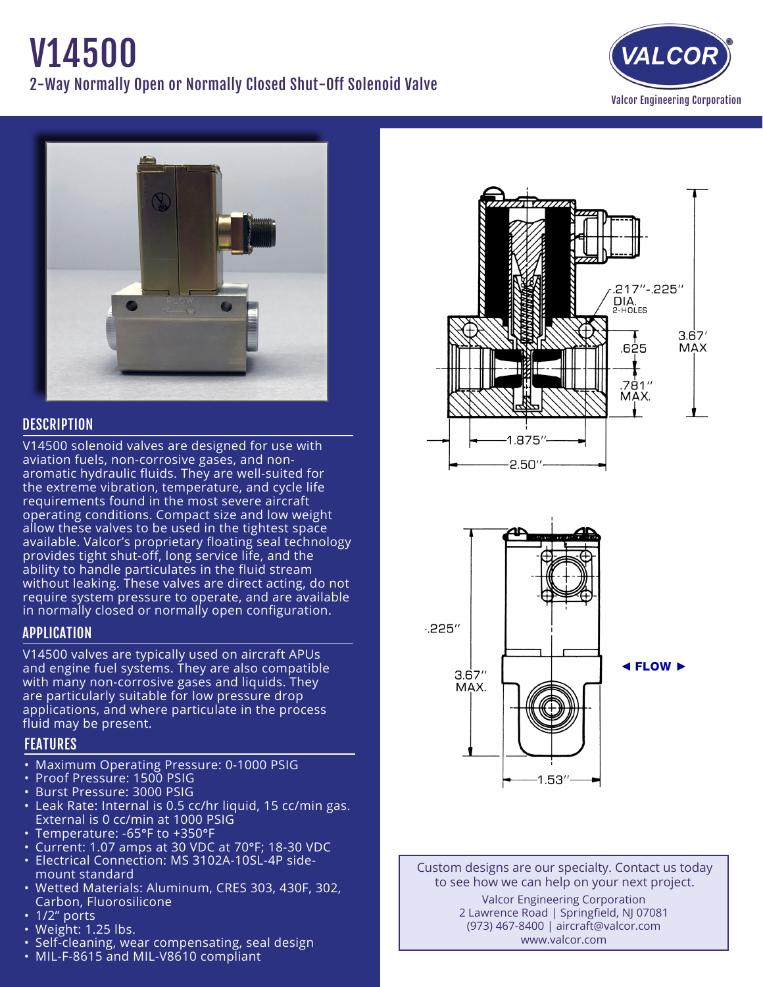# V14500 2-Way Normally Open or Normally Closed Shut-Off Solenoid Valve





# **DESCRIPTION**

V14500 solenoid valves are designed for use with aviation fuels, non-corrosive gases, and nonaromatic hydraulic fluids. They are well-suited for the extreme vibration, temperature, and cycle life requirements found in the most severe aircraft operating conditions. Compact size and low weight allow these valves to be used in the tightest space available. Valcor's proprietary floating seal technology provides tight shut-off, long service life, and the ability to handle particulates in the fluid stream without leaking. These valves are direct acting, do not require system pressure to operate, and are available in normally closed or normally open configuration.

## APPLICATION

V14500 valves are typically used on aircraft APUs and engine fuel systems. They are also compatible with many non-corrosive gases and liquids. They are particularly suitable for low pressure drop applications, and where particulate in the process fluid may be present.

# FEATURES

- Maximum Operating Pressure: 0-1000 PSIG
- Proof Pressure: 1500 PSIG
- • Burst Pressure: 3000 PSIG
- Leak Rate: Internal is 0.5 cc/hr liquid, 15 cc/min gas. External is 0 cc/min at 1000 PSIG
- Temperature: -65°F to +350°F
- • Current: 1.07 amps at 30 VDC at 70°F; 18-30 VDC
- Electrical Connection: MS 3102A-10SL-4P side- mount standard
- • Wetted Materials: Aluminum, CRES 303, 430F, 302, Carbon, Fluorosilicone
- 1/2" ports
- Weight: 1.25 lbs.
- Self-cleaning, wear compensating, seal design
- MIL-F-8615 and MIL-V8610 compliant





Custom designs are our specialty. Contact us today to see how we can help on your next project. Valcor Engineering Corporation 2 Lawrence Road | Springfield, NJ 07081 (973) 467-8400 | aircraft@valcor.com www.valcor.com